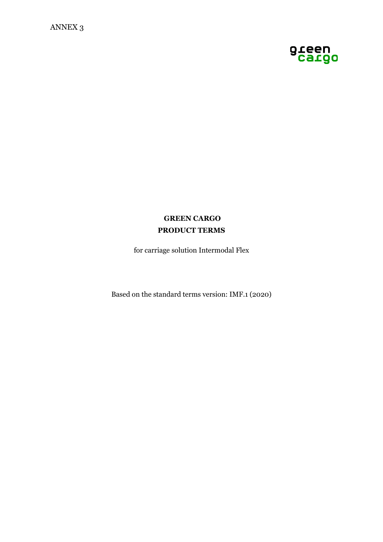

# **GREEN CARGO PRODUCT TERMS**

for carriage solution Intermodal Flex

Based on the standard terms version: IMF.1 (2020)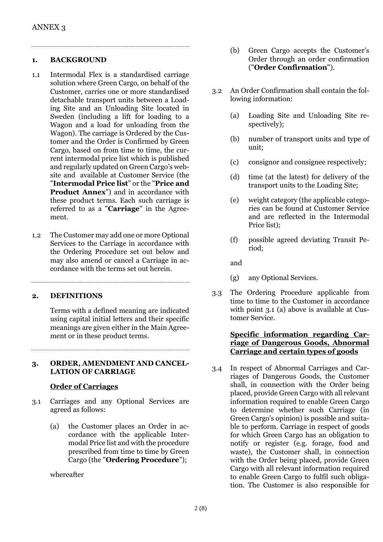#### **1. BACKGROUND**

- 1.1 Intermodal Flex is a standardised carriage solution where Green Cargo, on behalf of the Customer, carries one or more standardised detachable transport units between a Loading Site and an Unloading Site located in Sweden (including a lift for loading to a Wagon and a load for unloading from the Wagon). The carriage is Ordered by the Customer and the Order is Confirmed by Green Cargo, based on from time to time, the current intermodal price list which is published and regularly updated on Green Cargo's website and available at Customer Service (the "**Intermodal Price list**" or the "**Price and Product Annex**") and in accordance with these product terms. Each such carriage is referred to as a "**Carriage**" in the Agreement.
- 1.2 The Customer may add one or more Optional Services to the Carriage in accordance with the Ordering Procedure set out below and may also amend or cancel a Carriage in accordance with the terms set out herein.

### **2. DEFINITIONS**

Terms with a defined meaning are indicated using capital initial letters and their specific meanings are given either in the Main Agreement or in these product terms.

#### **3. ORDER, AMENDMENT AND CANCEL-LATION OF CARRIAGE**

### **Order of Carriages**

- 3.1 Carriages and any Optional Services are agreed as follows:
	- (a) the Customer places an Order in accordance with the applicable Intermodal Price list and with the procedure prescribed from time to time by Green Cargo (the "**Ordering Procedure**");

whereafter

- (b) Green Cargo accepts the Customer's Order through an order confirmation ("**Order Confirmation**").
- 3.2 An Order Confirmation shall contain the following information:
	- (a) Loading Site and Unloading Site respectively);
	- (b) number of transport units and type of unit;
	- (c) consignor and consignee respectively;
	- (d) time (at the latest) for delivery of the transport units to the Loading Site;
	- (e) weight category (the applicable categories can be found at Customer Service and are reflected in the Intermodal Price list);
	- (f) possible agreed deviating Transit Period;

and

- (g) any Optional Services.
- 3.3 The Ordering Procedure applicable from time to time to the Customer in accordance with point 3.1 (a) above is available at Customer Service.

# **Specific information regarding Carriage of Dangerous Goods, Abnormal Carriage and certain types of goods**

3.4 In respect of Abnormal Carriages and Carriages of Dangerous Goods, the Customer shall, in connection with the Order being placed, provide Green Cargo with all relevant information required to enable Green Cargo to determine whether such Carriage (in Green Cargo's opinion) is possible and suitable to perform. Carriage in respect of goods for which Green Cargo has an obligation to notify or register (e.g. forage, food and waste), the Customer shall, in connection with the Order being placed, provide Green Cargo with all relevant information required to enable Green Cargo to fulfil such obligation. The Customer is also responsible for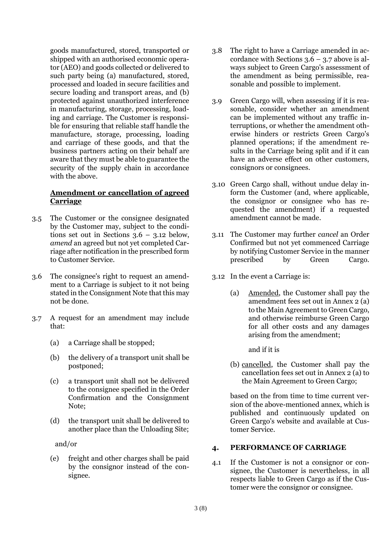goods manufactured, stored, transported or shipped with an authorised economic operator (AEO) and goods collected or delivered to such party being (a) manufactured, stored, processed and loaded in secure facilities and secure loading and transport areas, and (b) protected against unauthorized interference in manufacturing, storage, processing, loading and carriage. The Customer is responsible for ensuring that reliable staff handle the manufacture, storage, processing, loading and carriage of these goods, and that the business partners acting on their behalf are aware that they must be able to guarantee the security of the supply chain in accordance with the above.

# **Amendment or cancellation of agreed Carriage**

- 3.5 The Customer or the consignee designated by the Customer may, subject to the conditions set out in Sections 3.6 – 3.12 below, *amend* an agreed but not yet completed Carriage after notification in the prescribed form to Customer Service.
- 3.6 The consignee's right to request an amendment to a Carriage is subject to it not being stated in the Consignment Note that this may not be done.
- 3.7 A request for an amendment may include that:
	- (a) a Carriage shall be stopped;
	- (b) the delivery of a transport unit shall be postponed;
	- (c) a transport unit shall not be delivered to the consignee specified in the Order Confirmation and the Consignment Note;
	- (d) the transport unit shall be delivered to another place than the Unloading Site;

and/or

(e) freight and other charges shall be paid by the consignor instead of the consignee.

- 3.8 The right to have a Carriage amended in accordance with Sections  $3.6 - 3.7$  above is always subject to Green Cargo's assessment of the amendment as being permissible, reasonable and possible to implement.
- 3.9 Green Cargo will, when assessing if it is reasonable, consider whether an amendment can be implemented without any traffic interruptions, or whether the amendment otherwise hinders or restricts Green Cargo's planned operations; if the amendment results in the Carriage being split and if it can have an adverse effect on other customers, consignors or consignees.
- 3.10 Green Cargo shall, without undue delay inform the Customer (and, where applicable, the consignor or consignee who has requested the amendment) if a requested amendment cannot be made.
- 3.11 The Customer may further *cancel* an Order Confirmed but not yet commenced Carriage by notifying Customer Service in the manner prescribed by Green Cargo.
- 3.12 In the event a Carriage is:
	- (a) Amended, the Customer shall pay the amendment fees set out in Annex 2 (a) to the Main Agreement to Green Cargo, and otherwise reimburse Green Cargo for all other costs and any damages arising from the amendment;

and if it is

(b) cancelled, the Customer shall pay the cancellation fees set out in Annex 2 (a) to the Main Agreement to Green Cargo;

based on the from time to time current version of the above-mentioned annex, which is published and continuously updated on Green Cargo's website and available at Customer Service.

# **4. PERFORMANCE OF CARRIAGE**

4.1 If the Customer is not a consignor or consignee, the Customer is nevertheless, in all respects liable to Green Cargo as if the Customer were the consignor or consignee.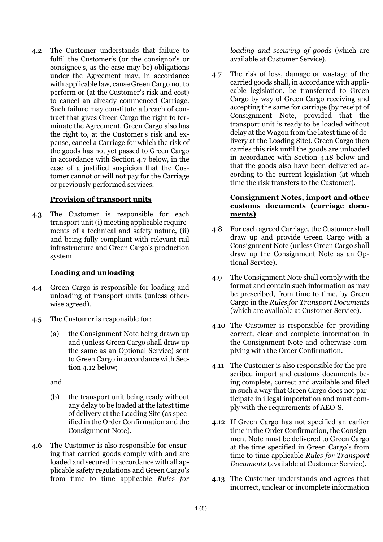4.2 The Customer understands that failure to fulfil the Customer's (or the consignor's or consignee's, as the case may be) obligations under the Agreement may, in accordance with applicable law, cause Green Cargo not to perform or (at the Customer's risk and cost) to cancel an already commenced Carriage. Such failure may constitute a breach of contract that gives Green Cargo the right to terminate the Agreement. Green Cargo also has the right to, at the Customer's risk and expense, cancel a Carriage for which the risk of the goods has not yet passed to Green Cargo in accordance with Section 4.7 below, in the case of a justified suspicion that the Customer cannot or will not pay for the Carriage or previously performed services.

### **Provision of transport units**

4.3 The Customer is responsible for each transport unit (i) meeting applicable requirements of a technical and safety nature, (ii) and being fully compliant with relevant rail infrastructure and Green Cargo's production system.

### **Loading and unloading**

- 4.4 Green Cargo is responsible for loading and unloading of transport units (unless otherwise agreed).
- 4.5 The Customer is responsible for:
	- (a) the Consignment Note being drawn up and (unless Green Cargo shall draw up the same as an Optional Service) sent to Green Cargo in accordance with Section 4.12 below;

and

- (b) the transport unit being ready without any delay to be loaded at the latest time of delivery at the Loading Site (as specified in the Order Confirmation and the Consignment Note).
- 4.6 The Customer is also responsible for ensuring that carried goods comply with and are loaded and secured in accordance with all applicable safety regulations and Green Cargo's from time to time applicable *Rules for*

*loading and securing of goods* (which are available at Customer Service).

4.7 The risk of loss, damage or wastage of the carried goods shall, in accordance with applicable legislation, be transferred to Green Cargo by way of Green Cargo receiving and accepting the same for carriage (by receipt of Consignment Note, provided that the transport unit is ready to be loaded without delay at the Wagon from the latest time of delivery at the Loading Site). Green Cargo then carries this risk until the goods are unloaded in accordance with Section 4.18 below and that the goods also have been delivered according to the current legislation (at which time the risk transfers to the Customer).

# **Consignment Notes, import and other customs documents (carriage documents)**

- 4.8 For each agreed Carriage, the Customer shall draw up and provide Green Cargo with a Consignment Note (unless Green Cargo shall draw up the Consignment Note as an Optional Service).
- 4.9 The Consignment Note shall comply with the format and contain such information as may be prescribed, from time to time, by Green Cargo in the *Rules for Transport Documents* (which are available at Customer Service).
- 4.10 The Customer is responsible for providing correct, clear and complete information in the Consignment Note and otherwise complying with the Order Confirmation.
- 4.11 The Customer is also responsible for the prescribed import and customs documents being complete, correct and available and filed in such a way that Green Cargo does not participate in illegal importation and must comply with the requirements of AEO-S.
- 4.12 If Green Cargo has not specified an earlier time in the Order Confirmation, the Consignment Note must be delivered to Green Cargo at the time specified in Green Cargo's from time to time applicable *Rules for Transport Documents* (available at Customer Service).
- 4.13 The Customer understands and agrees that incorrect, unclear or incomplete information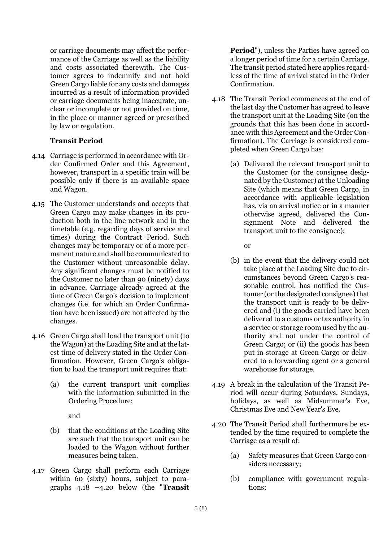or carriage documents may affect the performance of the Carriage as well as the liability and costs associated therewith. The Customer agrees to indemnify and not hold Green Cargo liable for any costs and damages incurred as a result of information provided or carriage documents being inaccurate, unclear or incomplete or not provided on time, in the place or manner agreed or prescribed by law or regulation.

# **Transit Period**

- 4.14 Carriage is performed in accordance with Order Confirmed Order and this Agreement, however, transport in a specific train will be possible only if there is an available space and Wagon.
- 4.15 The Customer understands and accepts that Green Cargo may make changes in its production both in the line network and in the timetable (e.g. regarding days of service and times) during the Contract Period. Such changes may be temporary or of a more permanent nature and shall be communicated to the Customer without unreasonable delay. Any significant changes must be notified to the Customer no later than 90 (ninety) days in advance. Carriage already agreed at the time of Green Cargo's decision to implement changes (i.e. for which an Order Confirmation have been issued) are not affected by the changes.
- 4.16 Green Cargo shall load the transport unit (to the Wagon) at the Loading Site and at the latest time of delivery stated in the Order Confirmation. However, Green Cargo's obligation to load the transport unit requires that:
	- (a) the current transport unit complies with the information submitted in the Ordering Procedure;

and

- (b) that the conditions at the Loading Site are such that the transport unit can be loaded to the Wagon without further measures being taken.
- 4.17 Green Cargo shall perform each Carriage within 60 (sixty) hours, subject to paragraphs 4.18 –4.20 below (the "**Transit**

**Period**"), unless the Parties have agreed on a longer period of time for a certain Carriage. The transit period stated here applies regardless of the time of arrival stated in the Order Confirmation.

- 4.18 The Transit Period commences at the end of the last day the Customer has agreed to leave the transport unit at the Loading Site (on the grounds that this has been done in accordance with this Agreement and the Order Confirmation). The Carriage is considered completed when Green Cargo has:
	- (a) Delivered the relevant transport unit to the Customer (or the consignee designated by the Customer) at the Unloading Site (which means that Green Cargo, in accordance with applicable legislation has, via an arrival notice or in a manner otherwise agreed, delivered the Consignment Note and delivered the transport unit to the consignee);

or

- (b) in the event that the delivery could not take place at the Loading Site due to circumstances beyond Green Cargo's reasonable control, has notified the Customer (or the designated consignee) that the transport unit is ready to be delivered and (i) the goods carried have been delivered to a customs or tax authority in a service or storage room used by the authority and not under the control of Green Cargo; or (ii) the goods has been put in storage at Green Cargo or delivered to a forwarding agent or a general warehouse for storage.
- 4.19 A break in the calculation of the Transit Period will occur during Saturdays, Sundays, holidays, as well as Midsummer's Eve, Christmas Eve and New Year's Eve.
- 4.20 The Transit Period shall furthermore be extended by the time required to complete the Carriage as a result of:
	- (a) Safety measures that Green Cargo considers necessary;
	- (b) compliance with government regulations;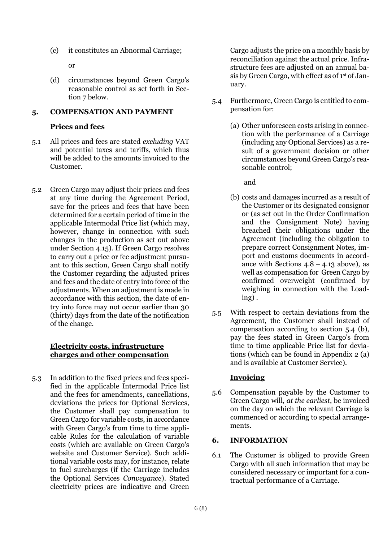(c) it constitutes an Abnormal Carriage;

or

(d) circumstances beyond Green Cargo's reasonable control as set forth in Section 7 below.

# **5. COMPENSATION AND PAYMENT**

# **Prices and fees**

- 5.1 All prices and fees are stated *excluding* VAT and potential taxes and tariffs, which thus will be added to the amounts invoiced to the Customer.
- 5.2 Green Cargo may adjust their prices and fees at any time during the Agreement Period, save for the prices and fees that have been determined for a certain period of time in the applicable Intermodal Price list (which may, however, change in connection with such changes in the production as set out above under Section 4.15). If Green Cargo resolves to carry out a price or fee adjustment pursuant to this section, Green Cargo shall notify the Customer regarding the adjusted prices and fees and the date of entry into force of the adjustments. When an adjustment is made in accordance with this section, the date of entry into force may not occur earlier than 30 (thirty) days from the date of the notification of the change.

# **Electricity costs, infrastructure charges and other compensation**

5.3 In addition to the fixed prices and fees specified in the applicable Intermodal Price list and the fees for amendments, cancellations, deviations the prices for Optional Services, the Customer shall pay compensation to Green Cargo for variable costs, in accordance with Green Cargo's from time to time applicable Rules for the calculation of variable costs (which are available on Green Cargo's website and Customer Service). Such additional variable costs may, for instance, relate to fuel surcharges (if the Carriage includes the Optional Services *Conveyance*). Stated electricity prices are indicative and Green

Cargo adjusts the price on a monthly basis by reconciliation against the actual price. Infrastructure fees are adjusted on an annual basis by Green Cargo, with effect as of 1st of January.

- 5.4 Furthermore, Green Cargo is entitled to compensation for:
	- (a) Other unforeseen costs arising in connection with the performance of a Carriage (including any Optional Services) as a result of a government decision or other circumstances beyond Green Cargo's reasonable control;

and

- (b) costs and damages incurred as a result of the Customer or its designated consignor or (as set out in the Order Confirmation and the Consignment Note) having breached their obligations under the Agreement (including the obligation to prepare correct Consignment Notes, import and customs documents in accordance with Sections  $4.8 - 4.13$  above), as well as compensation for Green Cargo by confirmed overweight (confirmed by weighing in connection with the Loading) .
- 5.5 With respect to certain deviations from the Agreement, the Customer shall instead of compensation according to section 5.4 (b), pay the fees stated in Green Cargo's from time to time applicable Price list for deviations (which can be found in Appendix 2 (a) and is available at Customer Service).

# **Invoicing**

5.6 Compensation payable by the Customer to Green Cargo will, *at the earliest*, be invoiced on the day on which the relevant Carriage is commenced or according to special arrangements.

# **6. INFORMATION**

6.1 The Customer is obliged to provide Green Cargo with all such information that may be considered necessary or important for a contractual performance of a Carriage.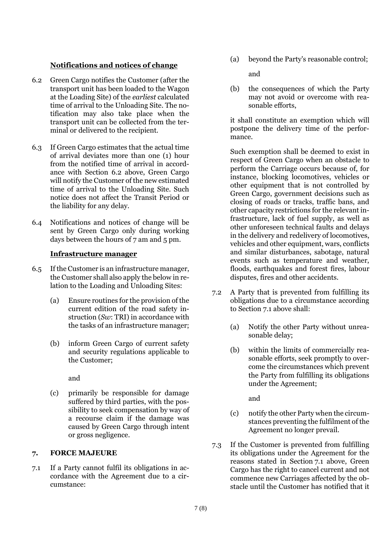# **Notifications and notices of change**

- 6.2 Green Cargo notifies the Customer (after the transport unit has been loaded to the Wagon at the Loading Site) of the *earliest* calculated time of arrival to the Unloading Site. The notification may also take place when the transport unit can be collected from the terminal or delivered to the recipient.
- 6.3 If Green Cargo estimates that the actual time of arrival deviates more than one (1) hour from the notified time of arrival in accordance with Section 6.2 above, Green Cargo will notify the Customer of the new estimated time of arrival to the Unloading Site. Such notice does not affect the Transit Period or the liability for any delay.
- 6.4 Notifications and notices of change will be sent by Green Cargo only during working days between the hours of 7 am and 5 pm.

### **Infrastructure manager**

- 6.5 If the Customer is an infrastructure manager, the Customer shall also apply the below in relation to the Loading and Unloading Sites:
	- (a) Ensure routines for the provision of the current edition of the road safety instruction (*Sw*: TRI) in accordance with the tasks of an infrastructure manager;
	- (b) inform Green Cargo of current safety and security regulations applicable to the Customer;

and

(c) primarily be responsible for damage suffered by third parties, with the possibility to seek compensation by way of a recourse claim if the damage was caused by Green Cargo through intent or gross negligence.

### **7. FORCE MAJEURE**

7.1 If a Party cannot fulfil its obligations in accordance with the Agreement due to a circumstance:

(a) beyond the Party's reasonable control;

and

(b) the consequences of which the Party may not avoid or overcome with reasonable efforts,

it shall constitute an exemption which will postpone the delivery time of the performance.

Such exemption shall be deemed to exist in respect of Green Cargo when an obstacle to perform the Carriage occurs because of, for instance, blocking locomotives, vehicles or other equipment that is not controlled by Green Cargo, government decisions such as closing of roads or tracks, traffic bans, and other capacity restrictions for the relevant infrastructure, lack of fuel supply, as well as other unforeseen technical faults and delays in the delivery and redelivery of locomotives, vehicles and other equipment, wars, conflicts and similar disturbances, sabotage, natural events such as temperature and weather, floods, earthquakes and forest fires, labour disputes, fires and other accidents.

- 7.2 A Party that is prevented from fulfilling its obligations due to a circumstance according to Section 7.1 above shall:
	- (a) Notify the other Party without unreasonable delay;
	- (b) within the limits of commercially reasonable efforts, seek promptly to overcome the circumstances which prevent the Party from fulfilling its obligations under the Agreement;

and

- (c) notify the other Party when the circumstances preventing the fulfilment of the Agreement no longer prevail.
- 7.3 If the Customer is prevented from fulfilling its obligations under the Agreement for the reasons stated in Section 7.1 above, Green Cargo has the right to cancel current and not commence new Carriages affected by the obstacle until the Customer has notified that it